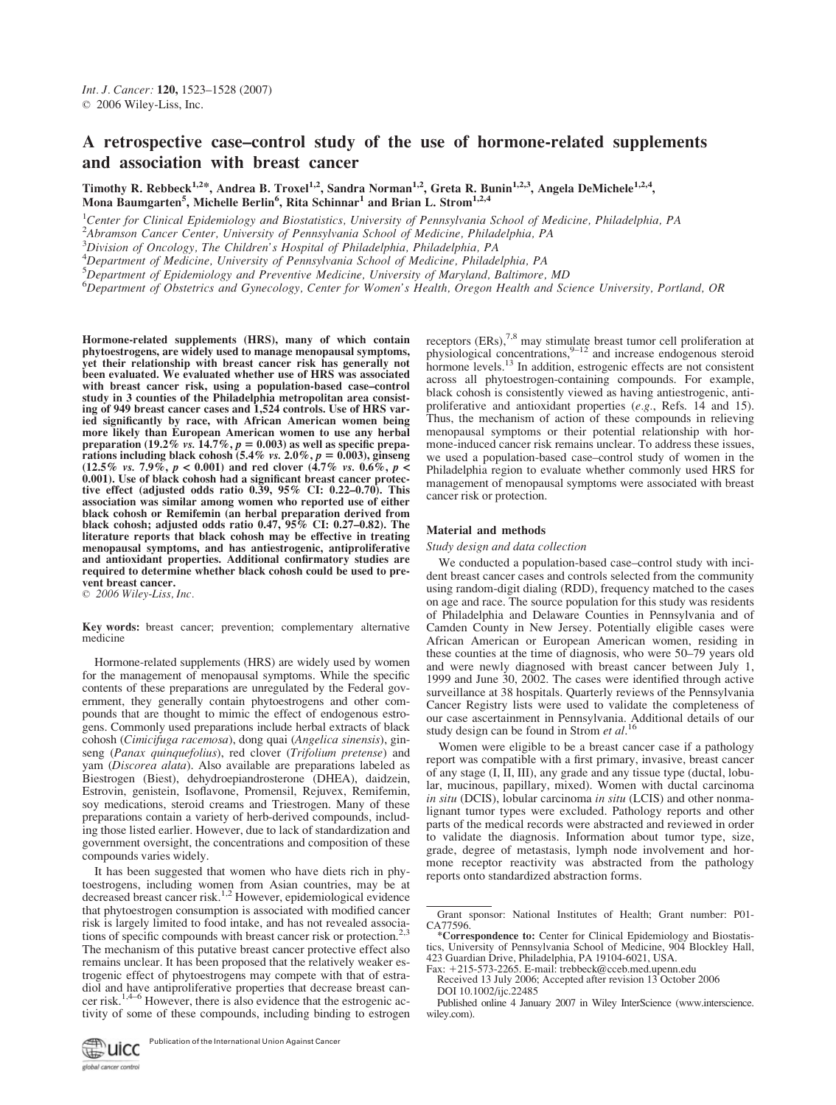# A retrospective case–control study of the use of hormone-related supplements and association with breast cancer

Timothy R. Rebbeck<sup>1,2\*</sup>, Andrea B. Troxel<sup>1,2</sup>, Sandra Norman<sup>1,2</sup>, Greta R. Bunin<sup>1,2,3</sup>, Angela DeMichele<sup>1,2,4</sup>, Mona Baumgarten<sup>5</sup>, Michelle Berlin<sup>6</sup>, Rita Schinnar<sup>1</sup> and Brian L. Strom<sup>1,2,4</sup>

<sup>1</sup>Center for Clinical Epidemiology and Biostatistics, University of Pennsylvania School of Medicine, Philadelphia, PA

<sup>2</sup> Abramson Cancer Center, University of Pennsylvania School of Medicine, Philadelphia, PA

<sup>3</sup>Division of Oncology, The Children's Hospital of Philadelphia, Philadelphia, PA

<sup>4</sup>Department of Medicine, University of Pennsylvania School of Medicine, Philadelphia, PA

<sup>5</sup>Department of Epidemiology and Preventive Medicine, University of Maryland, Baltimore, MD

6 Department of Obstetrics and Gynecology, Center for Women's Health, Oregon Health and Science University, Portland, OR

Hormone-related supplements (HRS), many of which contain phytoestrogens, are widely used to manage menopausal symptoms, yet their relationship with breast cancer risk has generally not been evaluated. We evaluated whether use of HRS was associated with breast cancer risk, using a population-based case–control study in 3 counties of the Philadelphia metropolitan area consisting of 949 breast cancer cases and 1,524 controls. Use of HRS varied significantly by race, with African American women being more likely than European American women to use any herbal preparation (19.2% vs. 14.7%,  $p = 0.003$ ) as well as specific preparations including black cohosh  $(5.4\% \text{ vs. } 2.0\%, p = 0.003)$ , ginseng  $(12.5\% \text{ vs. } 7.9\%, p < 0.001)$  and red clover  $(4.7\% \text{ vs. } 0.6\%, p <$ 0.001). Use of black cohosh had a significant breast cancer protective effect (adjusted odds ratio  $0.\overline{3}9, 95\%$  CI:  $0.22-0.70$ ). This association was similar among women who reported use of either black cohosh or Remifemin (an herbal preparation derived from black cohosh; adjusted odds ratio 0.47, 95% CI: 0.27–0.82). The literature reports that black cohosh may be effective in treating menopausal symptoms, and has antiestrogenic, antiproliferative and antioxidant properties. Additional confirmatory studies are required to determine whether black cohosh could be used to prevent breast cancer.

 $\odot$  2006 Wiley-Liss, Inc.

Key words: breast cancer; prevention; complementary alternative medicine

Hormone-related supplements (HRS) are widely used by women for the management of menopausal symptoms. While the specific contents of these preparations are unregulated by the Federal government, they generally contain phytoestrogens and other compounds that are thought to mimic the effect of endogenous estrogens. Commonly used preparations include herbal extracts of black cohosh (Cimicifuga racemosa), dong quai (Angelica sinensis), ginseng (Panax quinquefolius), red clover (Trifolium pretense) and yam (Discorea alata). Also available are preparations labeled as Biestrogen (Biest), dehydroepiandrosterone (DHEA), daidzein, Estrovin, genistein, Isoflavone, Promensil, Rejuvex, Remifemin, soy medications, steroid creams and Triestrogen. Many of these preparations contain a variety of herb-derived compounds, including those listed earlier. However, due to lack of standardization and government oversight, the concentrations and composition of these compounds varies widely.

It has been suggested that women who have diets rich in phytoestrogens, including women from Asian countries, may be at decreased breast cancer risk.1,2 However, epidemiological evidence that phytoestrogen consumption is associated with modified cancer risk is largely limited to food intake, and has not revealed associations of specific compounds with breast cancer risk or protection.<sup>2,3</sup> The mechanism of this putative breast cancer protective effect also remains unclear. It has been proposed that the relatively weaker estrogenic effect of phytoestrogens may compete with that of estradiol and have antiproliferative properties that decrease breast cancer risk.<sup>1,4–6</sup> However, there is also evidence that the estrogenic activity of some of these compounds, including binding to estrogen

Publication of the International Union Against Cancerwicc global cancer control

receptors  $(ERs)$ ,<sup>7,8</sup> may stimulate breast tumor cell proliferation at physiological concentrations, $9-12$  and increase endogenous steroid hormone levels.<sup>13</sup> In addition, estrogenic effects are not consistent across all phytoestrogen-containing compounds. For example, black cohosh is consistently viewed as having antiestrogenic, antiproliferative and antioxidant properties (e.g., Refs. 14 and 15). Thus, the mechanism of action of these compounds in relieving menopausal symptoms or their potential relationship with hormone-induced cancer risk remains unclear. To address these issues, we used a population-based case–control study of women in the Philadelphia region to evaluate whether commonly used HRS for management of menopausal symptoms were associated with breast cancer risk or protection.

## Material and methods

### Study design and data collection

We conducted a population-based case–control study with incident breast cancer cases and controls selected from the community using random-digit dialing (RDD), frequency matched to the cases on age and race. The source population for this study was residents of Philadelphia and Delaware Counties in Pennsylvania and of Camden County in New Jersey. Potentially eligible cases were African American or European American women, residing in these counties at the time of diagnosis, who were 50–79 years old and were newly diagnosed with breast cancer between July 1, 1999 and June 30, 2002. The cases were identified through active surveillance at 38 hospitals. Quarterly reviews of the Pennsylvania Cancer Registry lists were used to validate the completeness of our case ascertainment in Pennsylvania. Additional details of our study decign can be found in Strom at al.  $^{16}$ study design can be found in Strom et al.

Women were eligible to be a breast cancer case if a pathology report was compatible with a first primary, invasive, breast cancer of any stage (I, II, III), any grade and any tissue type (ductal, lobular, mucinous, papillary, mixed). Women with ductal carcinoma in situ (DCIS), lobular carcinoma in situ (LCIS) and other nonmalignant tumor types were excluded. Pathology reports and other parts of the medical records were abstracted and reviewed in order to validate the diagnosis. Information about tumor type, size, grade, degree of metastasis, lymph node involvement and hormone receptor reactivity was abstracted from the pathology reports onto standardized abstraction forms.

Received 13 July 2006; Accepted after revision 13 October 2006 DOI 10.1002/ijc.22485

Grant sponsor: National Institutes of Health; Grant number: P01- CA77596.

<sup>\*</sup>Correspondence to: Center for Clinical Epidemiology and Biostatis-tics, University of Pennsylvania School of Medicine, 904 Blockley Hall, 423 Guardian Drive, Philadelphia, PA 19104-6021, USA.

Fax: +215-573-2265. E-mail: trebbeck@cceb.med.upenn.edu

Published online 4 January 2007 in Wiley InterScience (www.interscience. wiley.com).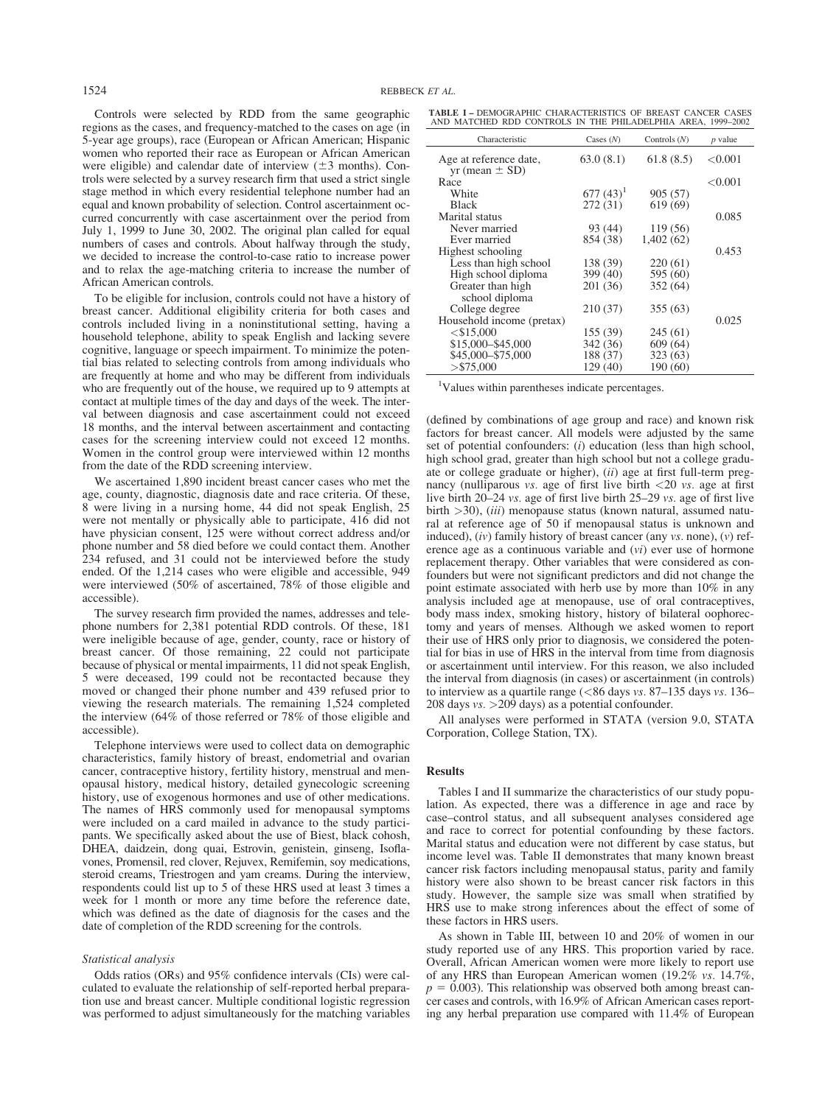Controls were selected by RDD from the same geographic regions as the cases, and frequency-matched to the cases on age (in 5-year age groups), race (European or African American; Hispanic women who reported their race as European or African American were eligible) and calendar date of interview  $(\pm 3 \text{ months})$ . Controls were selected by a survey research firm that used a strict single stage method in which every residential telephone number had an equal and known probability of selection. Control ascertainment occurred concurrently with case ascertainment over the period from July 1, 1999 to June 30, 2002. The original plan called for equal numbers of cases and controls. About halfway through the study, we decided to increase the control-to-case ratio to increase power and to relax the age-matching criteria to increase the number of African American controls.

To be eligible for inclusion, controls could not have a history of breast cancer. Additional eligibility criteria for both cases and controls included living in a noninstitutional setting, having a household telephone, ability to speak English and lacking severe cognitive, language or speech impairment. To minimize the potential bias related to selecting controls from among individuals who are frequently at home and who may be different from individuals who are frequently out of the house, we required up to 9 attempts at contact at multiple times of the day and days of the week. The interval between diagnosis and case ascertainment could not exceed 18 months, and the interval between ascertainment and contacting cases for the screening interview could not exceed 12 months. Women in the control group were interviewed within 12 months from the date of the RDD screening interview.

We ascertained 1,890 incident breast cancer cases who met the age, county, diagnostic, diagnosis date and race criteria. Of these, 8 were living in a nursing home, 44 did not speak English, 25 were not mentally or physically able to participate, 416 did not have physician consent, 125 were without correct address and/or phone number and 58 died before we could contact them. Another 234 refused, and 31 could not be interviewed before the study ended. Of the 1,214 cases who were eligible and accessible, 949 were interviewed (50% of ascertained, 78% of those eligible and accessible).

The survey research firm provided the names, addresses and telephone numbers for 2,381 potential RDD controls. Of these, 181 were ineligible because of age, gender, county, race or history of breast cancer. Of those remaining, 22 could not participate because of physical or mental impairments, 11 did not speak English, 5 were deceased, 199 could not be recontacted because they moved or changed their phone number and 439 refused prior to viewing the research materials. The remaining 1,524 completed the interview (64% of those referred or 78% of those eligible and accessible).

Telephone interviews were used to collect data on demographic characteristics, family history of breast, endometrial and ovarian cancer, contraceptive history, fertility history, menstrual and menopausal history, medical history, detailed gynecologic screening history, use of exogenous hormones and use of other medications. The names of HRS commonly used for menopausal symptoms were included on a card mailed in advance to the study participants. We specifically asked about the use of Biest, black cohosh, DHEA, daidzein, dong quai, Estrovin, genistein, ginseng, Isoflavones, Promensil, red clover, Rejuvex, Remifemin, soy medications, steroid creams, Triestrogen and yam creams. During the interview, respondents could list up to 5 of these HRS used at least 3 times a week for 1 month or more any time before the reference date, which was defined as the date of diagnosis for the cases and the date of completion of the RDD screening for the controls.

#### Statistical analysis

Odds ratios (ORs) and 95% confidence intervals (CIs) were calculated to evaluate the relationship of self-reported herbal preparation use and breast cancer. Multiple conditional logistic regression was performed to adjust simultaneously for the matching variables

TABLE I – DEMOGRAPHIC CHARACTERISTICS OF BREAST CANCER CASES AND MATCHED RDD CONTROLS IN THE PHILADELPHIA AREA, 1999–2002

| Characteristic            | Cases $(N)$ | Controls $(N)$ | $p$ value  |
|---------------------------|-------------|----------------|------------|
| Age at reference date,    | 63.0(8.1)   | 61.8(8.5)      | ${<}0.001$ |
| $yr$ (mean $\pm$ SD)      |             |                |            |
| Race                      |             |                | < 0.001    |
| White                     | $677(43)^1$ | 905 (57)       |            |
| <b>Black</b>              | 272(31)     | 619 (69)       |            |
| Marital status            |             |                | 0.085      |
| Never married             | 93 (44)     | 119 (56)       |            |
| Ever married              | 854 (38)    | 1,402(62)      |            |
| Highest schooling         |             |                | 0.453      |
| Less than high school     | 138 (39)    | 220(61)        |            |
| High school diploma       | 399 (40)    | 595 (60)       |            |
| Greater than high         | 201 (36)    | 352 (64)       |            |
| school diploma            |             |                |            |
| College degree            | 210 (37)    | 355 (63)       |            |
| Household income (pretax) |             |                | 0.025      |
| $<$ \$15,000              | 155 (39)    | 245 (61)       |            |
| \$15,000 - \$45,000       | 342 (36)    | 609(64)        |            |
| \$45,000-\$75,000         | 188 (37)    | 323 (63)       |            |
| $>$ \$75,000              | 129 (40)    | 190 (60)       |            |

<sup>1</sup>Values within parentheses indicate percentages.

(defined by combinations of age group and race) and known risk factors for breast cancer. All models were adjusted by the same set of potential confounders: (i) education (less than high school, high school grad, greater than high school but not a college graduate or college graduate or higher),  $(ii)$  age at first full-term pregnancy (nulliparous vs. age of first live birth  $\langle 20 \rangle$  vs. age at first live birth 20–24 vs. age of first live birth 25–29 vs. age of first live birth >30), *(iii)* menopause status (known natural, assumed natural at reference age of 50 if menopausal status is unknown and induced),  $(iv)$  family history of breast cancer (any vs. none),  $(v)$  reference age as a continuous variable and (vi) ever use of hormone replacement therapy. Other variables that were considered as confounders but were not significant predictors and did not change the point estimate associated with herb use by more than 10% in any analysis included age at menopause, use of oral contraceptives, body mass index, smoking history, history of bilateral oophorectomy and years of menses. Although we asked women to report their use of HRS only prior to diagnosis, we considered the potential for bias in use of HRS in the interval from time from diagnosis or ascertainment until interview. For this reason, we also included the interval from diagnosis (in cases) or ascertainment (in controls) to interview as a quartile range  $\left( < 86 \text{ days } vs. 87 - 135 \text{ days } vs. 136 - 135 \text{ days } vs. 136 - 135 \text{ days } vs. 136 - 135 \text{ days } vs. 136 - 135 \text{ days } vs. 136 - 135 \text{ days } vs. 136 - 135 \text{ days } vs. 136 - 135 \text{ days } vs. 136 - 135 \text{ days } vs. 136 - 135 \text{ days } vs. 136 - 135 \text{ days }$ 208 days  $vs. > 209$  days) as a potential confounder.

All analyses were performed in STATA (version 9.0, STATA Corporation, College Station, TX).

#### Results

Tables I and II summarize the characteristics of our study population. As expected, there was a difference in age and race by case–control status, and all subsequent analyses considered age and race to correct for potential confounding by these factors. Marital status and education were not different by case status, but income level was. Table II demonstrates that many known breast cancer risk factors including menopausal status, parity and family history were also shown to be breast cancer risk factors in this study. However, the sample size was small when stratified by HRS use to make strong inferences about the effect of some of these factors in HRS users.

As shown in Table III, between 10 and 20% of women in our study reported use of any HRS. This proportion varied by race. Overall, African American women were more likely to report use of any HRS than European American women (19.2% vs. 14.7%,  $p = 0.003$ ). This relationship was observed both among breast cancer cases and controls, with 16.9% of African American cases reporting any herbal preparation use compared with 11.4% of European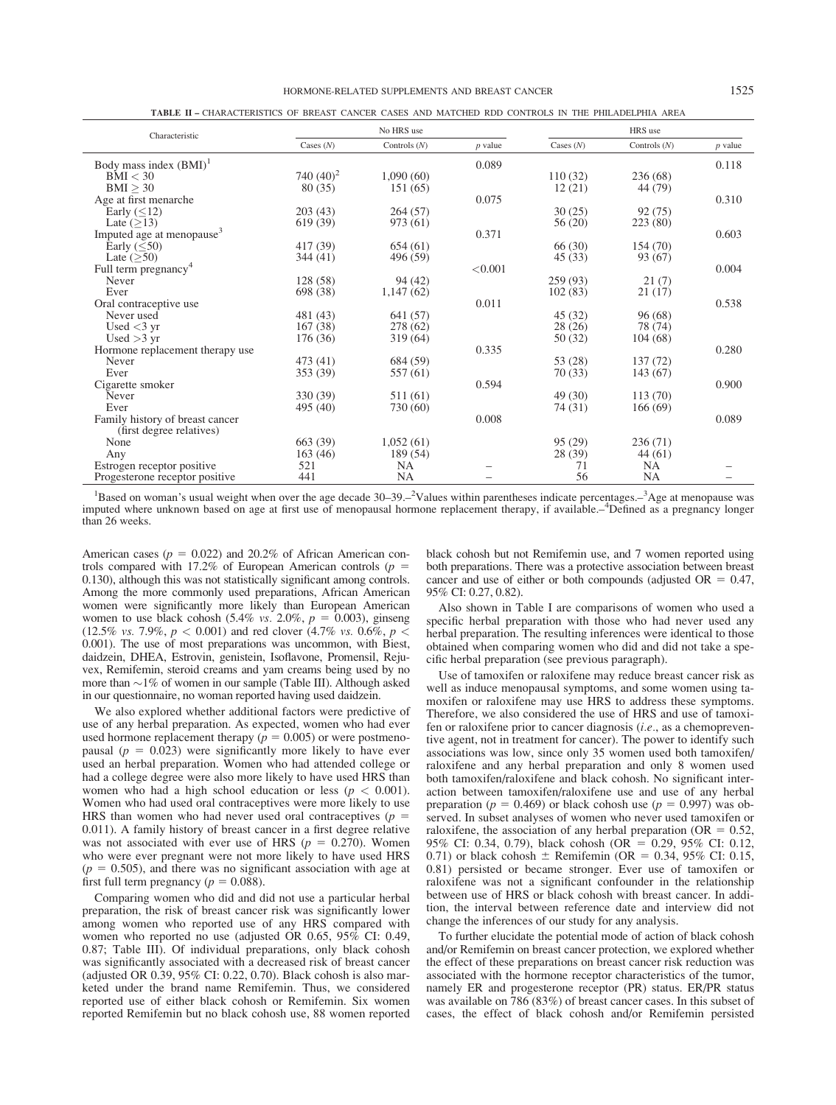## HORMONE-RELATED SUPPLEMENTS AND BREAST CANCER 1525

TABLE II – CHARACTERISTICS OF BREAST CANCER CASES AND MATCHED RDD CONTROLS IN THE PHILADELPHIA AREA

| Characteristic                        | No HRS use   |                |           | HRS use     |                |           |
|---------------------------------------|--------------|----------------|-----------|-------------|----------------|-----------|
|                                       | Cases $(N)$  | Controls $(N)$ | $p$ value | Cases $(N)$ | Controls $(N)$ | $p$ value |
| Body mass index $(BMI)^{1}$           |              |                | 0.089     |             |                | 0.118     |
| BMI < 30                              | 740 $(40)^2$ | 1,090(60)      |           | 110(32)     | 236(68)        |           |
| BMI > 30                              | 80(35)       | 151 (65)       |           | 12(21)      | 44 (79)        |           |
| Age at first menarche                 |              |                | 0.075     |             |                | 0.310     |
| Early $(<12)$                         | 203(43)      | 264(57)        |           | 30(25)      | 92 (75)        |           |
| Late $(>13)$                          | 619 (39)     | 973 (61)       |           | 56(20)      | 223 (80)       |           |
| Imputed age at menopause <sup>3</sup> |              |                | 0.371     |             |                | 0.603     |
| Early $(<50)$                         | 417 (39)     | 654(61)        |           | 66 (30)     | 154 (70)       |           |
| Late $($ >50)                         | 344(41)      | 496 (59)       |           | 45(33)      | 93 (67)        |           |
| Full term pregnancy <sup>4</sup>      |              |                | < 0.001   |             |                | 0.004     |
| Never                                 | 128 (58)     | 94 (42)        |           | 259(93)     | 21(7)          |           |
| Ever                                  | 698 (38)     | 1,147(62)      |           | 102(83)     | 21(17)         |           |
| Oral contraceptive use                |              |                | 0.011     |             |                | 0.538     |
| Never used                            | 481 (43)     | 641 (57)       |           | 45(32)      | 96(68)         |           |
| Used $<$ 3 yr                         | 167(38)      | 278 (62)       |           | 28(26)      | 78 (74)        |           |
| Used $>3$ yr                          | 176 (36)     | 319 (64)       |           | 50(32)      | 104(68)        |           |
| Hormone replacement therapy use       |              |                | 0.335     |             |                | 0.280     |
| Never                                 | 473 (41)     | 684 (59)       |           | 53 (28)     | 137(72)        |           |
| Ever                                  | 353 (39)     | 557 (61)       |           | 70(33)      | 143 (67)       |           |
| Cigarette smoker                      |              |                | 0.594     |             |                | 0.900     |
| Never                                 | 330 (39)     | 511 (61)       |           | 49 (30)     | 113 (70)       |           |
| Ever                                  | 495 (40)     | 730 (60)       |           | 74 (31)     | 166(69)        |           |
| Family history of breast cancer       |              |                | 0.008     |             |                | 0.089     |
| (first degree relatives)              |              |                |           |             |                |           |
| None                                  | 663 (39)     | 1,052(61)      |           | 95(29)      | 236(71)        |           |
| Any                                   | 163(46)      | 189 (54)       |           | 28 (39)     | 44(61)         |           |
| Estrogen receptor positive            | 521          | <b>NA</b>      |           | 71          | <b>NA</b>      |           |
| Progesterone receptor positive        | 441          | NA             |           | 56          | NA             |           |

<sup>1</sup>Based on woman's usual weight when over the age decade 30–39.<sup>2</sup>Values within parentheses indicate percentages.<sup>3</sup>Age at menopause was imputed where unknown based on age at first use of menopausal hormone replacement therapy, if available.<sup>4</sup>Defined as a pregnancy longer than 26 weeks.

American cases ( $p = 0.022$ ) and 20.2% of African American controls compared with 17.2% of European American controls ( $p =$ 0.130), although this was not statistically significant among controls. Among the more commonly used preparations, African American women were significantly more likely than European American women to use black cohosh (5.4% vs. 2.0%,  $p = 0.003$ ), ginseng (12.5% vs. 7.9%,  $p < 0.001$ ) and red clover (4.7% vs. 0.6%,  $p <$ 0.001). The use of most preparations was uncommon, with Biest, daidzein, DHEA, Estrovin, genistein, Isoflavone, Promensil, Rejuvex, Remifemin, steroid creams and yam creams being used by no more than  $\sim$ 1% of women in our sample (Table III). Although asked in our questionnaire, no woman reported having used daidzein.

We also explored whether additional factors were predictive of use of any herbal preparation. As expected, women who had ever used hormone replacement therapy ( $p = 0.005$ ) or were postmenopausal ( $p = 0.023$ ) were significantly more likely to have ever used an herbal preparation. Women who had attended college or had a college degree were also more likely to have used HRS than women who had a high school education or less ( $p < 0.001$ ). Women who had used oral contraceptives were more likely to use HRS than women who had never used oral contraceptives ( $p =$ 0.011). A family history of breast cancer in a first degree relative was not associated with ever use of HRS ( $p = 0.270$ ). Women who were ever pregnant were not more likely to have used HRS  $(p = 0.505)$ , and there was no significant association with age at first full term pregnancy ( $p = 0.088$ ).

Comparing women who did and did not use a particular herbal preparation, the risk of breast cancer risk was significantly lower among women who reported use of any HRS compared with women who reported no use (adjusted OR 0.65, 95% CI: 0.49, 0.87; Table III). Of individual preparations, only black cohosh was significantly associated with a decreased risk of breast cancer (adjusted OR 0.39, 95% CI: 0.22, 0.70). Black cohosh is also marketed under the brand name Remifemin. Thus, we considered reported use of either black cohosh or Remifemin. Six women reported Remifemin but no black cohosh use, 88 women reported

black cohosh but not Remifemin use, and 7 women reported using both preparations. There was a protective association between breast cancer and use of either or both compounds (adjusted  $OR = 0.47$ , 95% CI: 0.27, 0.82).

Also shown in Table I are comparisons of women who used a specific herbal preparation with those who had never used any herbal preparation. The resulting inferences were identical to those obtained when comparing women who did and did not take a specific herbal preparation (see previous paragraph).

Use of tamoxifen or raloxifene may reduce breast cancer risk as well as induce menopausal symptoms, and some women using tamoxifen or raloxifene may use HRS to address these symptoms. Therefore, we also considered the use of HRS and use of tamoxifen or raloxifene prior to cancer diagnosis (i.e., as a chemopreventive agent, not in treatment for cancer). The power to identify such associations was low, since only 35 women used both tamoxifen/ raloxifene and any herbal preparation and only 8 women used both tamoxifen/raloxifene and black cohosh. No significant interaction between tamoxifen/raloxifene use and use of any herbal preparation ( $p = 0.469$ ) or black cohosh use ( $p = 0.997$ ) was observed. In subset analyses of women who never used tamoxifen or raloxifene, the association of any herbal preparation ( $OR = 0.52$ , 95% CI: 0.34, 0.79), black cohosh (OR = 0.29, 95% CI: 0.12, 0.71) or black cohosh  $\pm$  Remifemin (OR = 0.34, 95% CI: 0.15, 0.81) persisted or became stronger. Ever use of tamoxifen or raloxifene was not a significant confounder in the relationship between use of HRS or black cohosh with breast cancer. In addition, the interval between reference date and interview did not change the inferences of our study for any analysis.

To further elucidate the potential mode of action of black cohosh and/or Remifemin on breast cancer protection, we explored whether the effect of these preparations on breast cancer risk reduction was associated with the hormone receptor characteristics of the tumor, namely ER and progesterone receptor (PR) status. ER/PR status was available on 786 (83%) of breast cancer cases. In this subset of cases, the effect of black cohosh and/or Remifemin persisted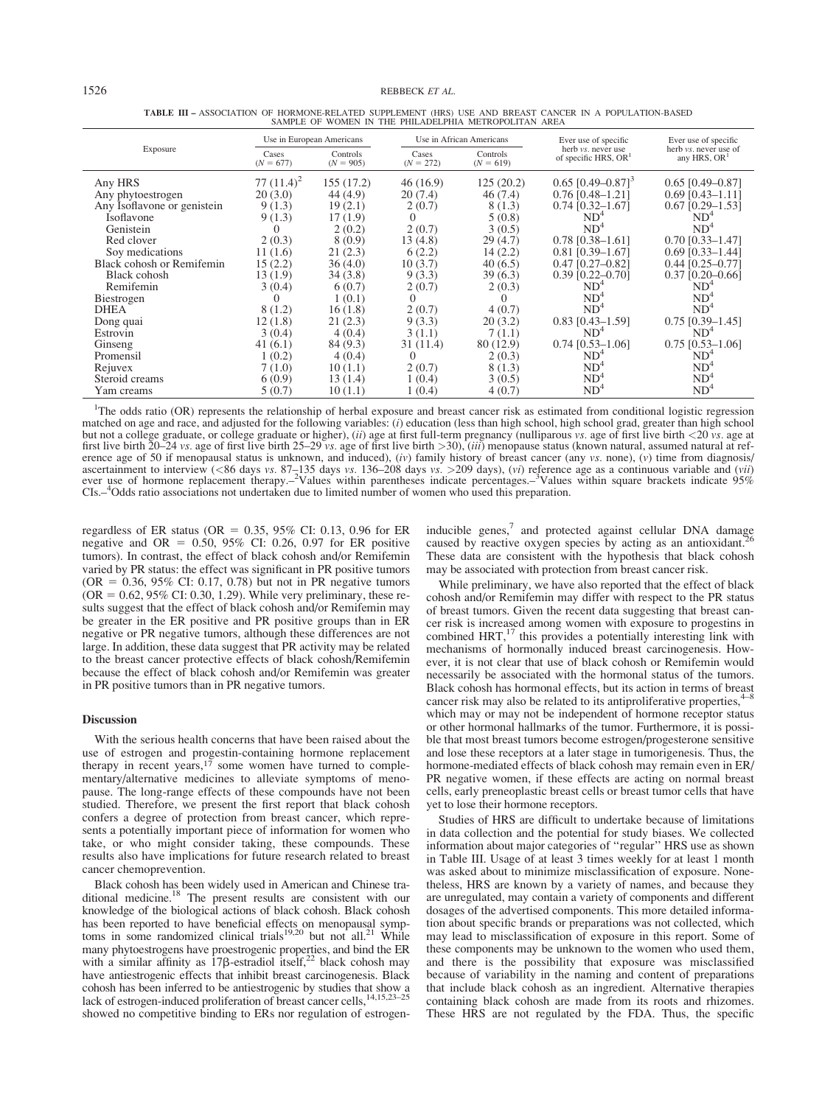## 1526 REBBECK ET AL.

| Exposure                    | Use in European Americans |                         | Use in African Americans |                         | Ever use of specific                         | Ever use of specific                    |
|-----------------------------|---------------------------|-------------------------|--------------------------|-------------------------|----------------------------------------------|-----------------------------------------|
|                             | Cases<br>$(N = 677)$      | Controls<br>$(N = 905)$ | Cases<br>$(N = 272)$     | Controls<br>$(N = 619)$ | herb vs. never use<br>of specific HRS, $OR1$ | herb vs. never use of<br>any HRS, $OR1$ |
| Any HRS                     | 77 $(11.4)^2$             | 155 (17.2)              | 46(16.9)                 | 125(20.2)               | $0.65$ [0.49– $0.87$ ] <sup>3</sup>          | $0.65$ [0.49-0.87]                      |
| Any phytoestrogen           | 20(3.0)                   | 44 (4.9)                | 20(7.4)                  | 46(7.4)                 | $0.76$ [0.48-1.21]                           | $0.69$ [0.43-1.11]                      |
| Any Isoflavone or genistein | 9(1.3)                    | 19(2.1)                 | 2(0.7)                   | 8(1.3)                  | $0.74$ [0.32-1.67]                           | $0.67$ [0.29-1.53]                      |
| Isoflavone                  | 9(1.3)                    | 17(1.9)                 |                          | 5(0.8)                  | ND <sup>4</sup>                              | $ND^4$                                  |
| Genistein                   |                           | 2(0.2)                  | 2(0.7)                   | 3(0.5)                  | ND <sup>4</sup>                              | ND <sup>4</sup>                         |
| Red clover                  | 2(0.3)                    | 8(0.9)                  | 13(4.8)                  | 29(4.7)                 | $0.78$ [0.38-1.61]                           | $0.70$ [0.33-1.47]                      |
| Soy medications             | 11(1.6)                   | 21(2.3)                 | 6(2.2)                   | 14(2.2)                 | $0.81$ [0.39-1.67]                           | $0.69$ [0.33-1.44]                      |
| Black cohosh or Remifemin   | 15(2.2)                   | 36(4.0)                 | 10(3.7)                  | 40(6.5)                 | $0.47$ [0.27-0.82]                           | $0.44$ [0.25-0.77]                      |
| Black cohosh                | 13(1.9)                   | 34(3.8)                 | 9(3.3)                   | 39(6.3)                 | $0.39$ [0.22-0.70]                           | $0.37$ [0.20-0.66]                      |
| Remifemin                   | 3(0.4)                    | 6(0.7)                  | 2(0.7)                   | 2(0.3)                  | $ND^4$                                       | ND <sup>4</sup>                         |
| Biestrogen                  |                           | 1(0.1)                  |                          |                         | ND <sup>4</sup>                              | $ND^4$                                  |
| <b>DHEA</b>                 | 8(1.2)                    | 16(1.8)                 | 2(0.7)                   | 4(0.7)                  | ND <sup>4</sup>                              | ND <sup>4</sup>                         |
| Dong quai                   | 12(1.8)                   | 21(2.3)                 | 9(3.3)                   | 20(3.2)                 | $0.83$ [0.43-1.59]                           | $0.75$ [0.39-1.45]                      |
| Estrovin                    | 3(0.4)                    | 4(0.4)                  | 3(1.1)                   | 7(1.1)                  | ND <sup>4</sup>                              | $ND^4$                                  |
| Ginseng                     | 41(6.1)                   | 84 (9.3)                | 31 (11.4)                | 80 (12.9)               | $0.74$ [0.53-1.06]                           | $0.75$ [0.53-1.06]                      |
| Promensil                   | 1(0.2)                    | 4(0.4)                  | $\theta$                 | 2(0.3)                  | ND <sup>4</sup>                              | $ND^4$                                  |
| Rejuvex                     | 7(1.0)                    | 10(1.1)                 | 2(0.7)                   | 8(1.3)                  | ND <sup>4</sup>                              | ND <sup>4</sup>                         |
| Steroid creams              | 6(0.9)                    | 13(1.4)                 | 1(0.4)                   | 3(0.5)                  | ND <sup>4</sup>                              | ND <sup>4</sup>                         |
| Yam creams                  | 5(0.7)                    | 10(1.1)                 | 1(0.4)                   | 4(0.7)                  | ND <sup>4</sup>                              | $ND^4$                                  |

TABLE III – ASSOCIATION OF HORMONE-RELATED SUPPLEMENT (HRS) USE AND BREAST CANCER IN A POPULATION-BASED SAMPLE OF WOMEN IN THE PHILADELPHIA METROPOLITAN AREA

<sup>1</sup>The odds ratio (OR) represents the relationship of herbal exposure and breast cancer risk as estimated from conditional logistic regression matched on age and race, and adjusted for the following variables: (i) education (less than high school, high school grad, greater than high school but not a college graduate, or college graduate or higher), (ii) age at first full-term pregnancy (nulliparous vs. age of first live birth <20 vs. age at first live birth  $20-24$  vs. age of first live birth  $25-29$  vs. age of first live birth  $>30$ , (iii) menopause status (known natural, assumed natural at reference age of 50 if menopausal status is unknown, and induced), (iv) family history of breast cancer (any vs. none), (v) time from diagnosis/ ascertainment to interview (<86 days vs. 87–135 days vs. 136–208 days vs. >209 days), (vi) reference age as a continuous variable and (vii) ever use of hormone replacement therapy.<sup>2</sup>Values within parentheses indicate perc CIs.–<sup>4</sup> Odds ratio associations not undertaken due to limited number of women who used this preparation.

regardless of ER status (OR =  $0.35$ , 95% CI: 0.13, 0.96 for ER negative and OR =  $0.50, 95\%$  CI: 0.26, 0.97 for ER positive tumors). In contrast, the effect of black cohosh and/or Remifemin varied by PR status: the effect was significant in PR positive tumors  $(OR = 0.36, 95\% \text{ CI: } 0.17, 0.78)$  but not in PR negative tumors  $(OR = 0.62, 95\% \text{ CI: } 0.30, 1.29)$ . While very preliminary, these results suggest that the effect of black cohosh and/or Remifemin may be greater in the ER positive and PR positive groups than in ER negative or PR negative tumors, although these differences are not large. In addition, these data suggest that PR activity may be related to the breast cancer protective effects of black cohosh/Remifemin because the effect of black cohosh and/or Remifemin was greater in PR positive tumors than in PR negative tumors.

## **Discussion**

With the serious health concerns that have been raised about the use of estrogen and progestin-containing hormone replacement therapy in recent years, $1<sup>7</sup>$  some women have turned to complementary/alternative medicines to alleviate symptoms of menopause. The long-range effects of these compounds have not been studied. Therefore, we present the first report that black cohosh confers a degree of protection from breast cancer, which represents a potentially important piece of information for women who take, or who might consider taking, these compounds. These results also have implications for future research related to breast cancer chemoprevention.

Black cohosh has been widely used in American and Chinese traditional medicine.<sup>18</sup> The present results are consistent with our knowledge of the biological actions of black cohosh. Black cohosh has been reported to have beneficial effects on menopausal symptoms in some randomized clinical trials<sup>19,20</sup> but not all.<sup>21</sup> While many phytoestrogens have proestrogenic properties, and bind the ER with a similar affinity as 17 $\beta$ -estradiol itself,<sup>22</sup> black cohosh may have antiestrogenic effects that inhibit breast carcinogenesis. Black cohosh has been inferred to be antiestrogenic by studies that show a lack of estrogen-induced proliferation of breast cancer cells,<sup>14,15,23–25</sup> showed no competitive binding to ERs nor regulation of estrogeninducible genes,<sup>7</sup> and protected against cellular DNA damage caused by reactive oxygen species by acting as an antioxidant. These data are consistent with the hypothesis that black cohosh may be associated with protection from breast cancer risk.

While preliminary, we have also reported that the effect of black cohosh and/or Remifemin may differ with respect to the PR status of breast tumors. Given the recent data suggesting that breast cancer risk is increased among women with exposure to progestins in combined  $HRT$ ,<sup>17</sup> this provides a potentially interesting link with mechanisms of hormonally induced breast carcinogenesis. However, it is not clear that use of black cohosh or Remifemin would necessarily be associated with the hormonal status of the tumors. Black cohosh has hormonal effects, but its action in terms of breast cancer risk may also be related to its antiproliferative properties, $4\overline{6}$ which may or may not be independent of hormone receptor status or other hormonal hallmarks of the tumor. Furthermore, it is possible that most breast tumors become estrogen/progesterone sensitive and lose these receptors at a later stage in tumorigenesis. Thus, the hormone-mediated effects of black cohosh may remain even in ER/ PR negative women, if these effects are acting on normal breast cells, early preneoplastic breast cells or breast tumor cells that have yet to lose their hormone receptors.

Studies of HRS are difficult to undertake because of limitations in data collection and the potential for study biases. We collected information about major categories of ''regular'' HRS use as shown in Table III. Usage of at least 3 times weekly for at least 1 month was asked about to minimize misclassification of exposure. Nonetheless, HRS are known by a variety of names, and because they are unregulated, may contain a variety of components and different dosages of the advertised components. This more detailed information about specific brands or preparations was not collected, which may lead to misclassification of exposure in this report. Some of these components may be unknown to the women who used them, and there is the possibility that exposure was misclassified because of variability in the naming and content of preparations that include black cohosh as an ingredient. Alternative therapies containing black cohosh are made from its roots and rhizomes. These HRS are not regulated by the FDA. Thus, the specific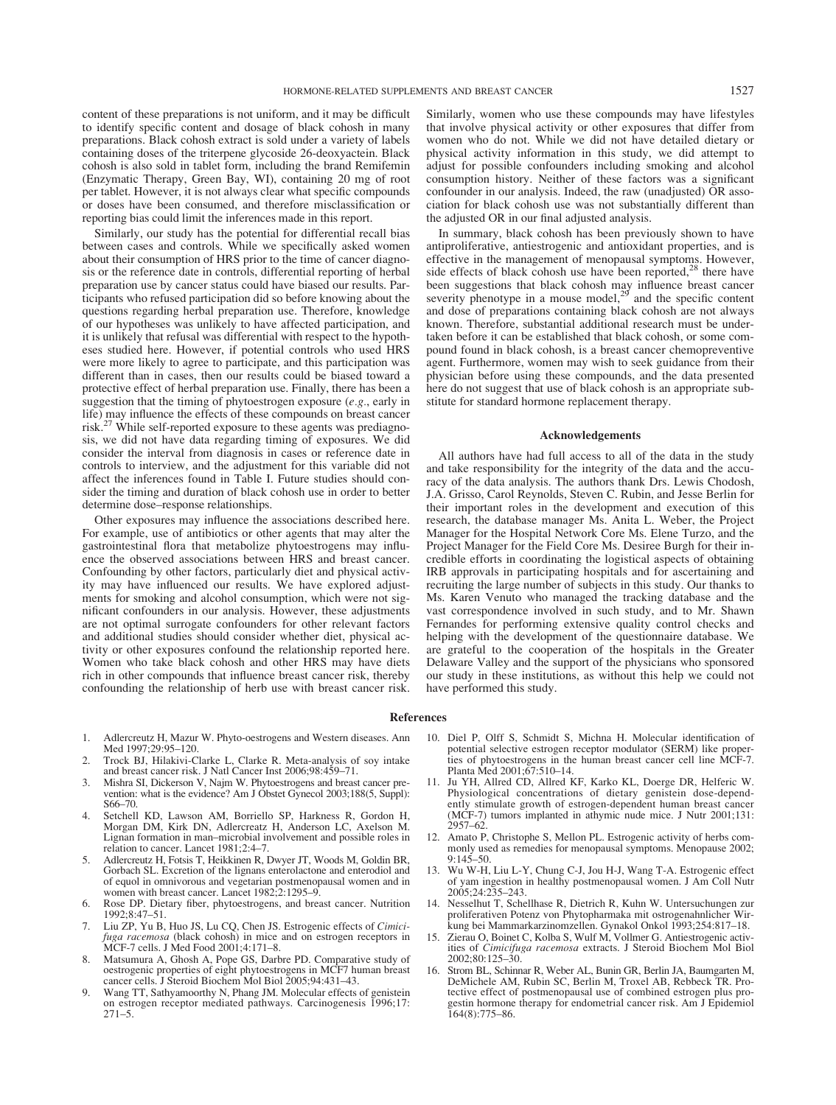content of these preparations is not uniform, and it may be difficult to identify specific content and dosage of black cohosh in many preparations. Black cohosh extract is sold under a variety of labels containing doses of the triterpene glycoside 26-deoxyactein. Black cohosh is also sold in tablet form, including the brand Remifemin (Enzymatic Therapy, Green Bay, WI), containing 20 mg of root per tablet. However, it is not always clear what specific compounds or doses have been consumed, and therefore misclassification or reporting bias could limit the inferences made in this report.

Similarly, our study has the potential for differential recall bias between cases and controls. While we specifically asked women about their consumption of HRS prior to the time of cancer diagnosis or the reference date in controls, differential reporting of herbal preparation use by cancer status could have biased our results. Participants who refused participation did so before knowing about the questions regarding herbal preparation use. Therefore, knowledge of our hypotheses was unlikely to have affected participation, and it is unlikely that refusal was differential with respect to the hypotheses studied here. However, if potential controls who used HRS were more likely to agree to participate, and this participation was different than in cases, then our results could be biased toward a protective effect of herbal preparation use. Finally, there has been a suggestion that the timing of phytoestrogen exposure  $(e.g.,$  early in life) may influence the effects of these compounds on breast cancer risk.<sup>27</sup> While self-reported exposure to these agents was prediagnosis, we did not have data regarding timing of exposures. We did consider the interval from diagnosis in cases or reference date in controls to interview, and the adjustment for this variable did not affect the inferences found in Table I. Future studies should consider the timing and duration of black cohosh use in order to better determine dose–response relationships.

Other exposures may influence the associations described here. For example, use of antibiotics or other agents that may alter the gastrointestinal flora that metabolize phytoestrogens may influence the observed associations between HRS and breast cancer. Confounding by other factors, particularly diet and physical activity may have influenced our results. We have explored adjustments for smoking and alcohol consumption, which were not significant confounders in our analysis. However, these adjustments are not optimal surrogate confounders for other relevant factors and additional studies should consider whether diet, physical activity or other exposures confound the relationship reported here. Women who take black cohosh and other HRS may have diets rich in other compounds that influence breast cancer risk, thereby confounding the relationship of herb use with breast cancer risk.

- 1. Adlercreutz H, Mazur W. Phyto-oestrogens and Western diseases. Ann Med 1997;29:95–120.
- 2. Trock BJ, Hilakivi-Clarke L, Clarke R. Meta-analysis of soy intake and breast cancer risk. J Natl Cancer Inst 2006;98:459–71.
- 3. Mishra SI, Dickerson V, Najm W. Phytoestrogens and breast cancer prevention: what is the evidence? Am J Obstet Gynecol 2003;188(5, Suppl): S66–70.
- 4. Setchell KD, Lawson AM, Borriello SP, Harkness R, Gordon H, Morgan DM, Kirk DN, Adlercreatz H, Anderson LC, Axelson M. Lignan formation in man–microbial involvement and possible roles in relation to cancer. Lancet 1981;2:4–7.
- 5. Adlercreutz H, Fotsis T, Heikkinen R, Dwyer JT, Woods M, Goldin BR, Gorbach SL. Excretion of the lignans enterolactone and enterodiol and of equol in omnivorous and vegetarian postmenopausal women and in women with breast cancer. Lancet 1982;2:1295–9.
- 6. Rose DP. Dietary fiber, phytoestrogens, and breast cancer. Nutrition 1992;8:47–51.
- 7. Liu ZP, Yu B, Huo JS, Lu CQ, Chen JS. Estrogenic effects of Cimicifuga racemosa (black cohosh) in mice and on estrogen receptors in MCF-7 cells. J Med Food 2001;4:171–8.
- 8. Matsumura A, Ghosh A, Pope GS, Darbre PD. Comparative study of oestrogenic properties of eight phytoestrogens in MCF7 human breast cancer cells. J Steroid Biochem Mol Biol 2005;94:431–43.
- 9. Wang TT, Sathyamoorthy N, Phang JM. Molecular effects of genistein on estrogen receptor mediated pathways. Carcinogenesis 1996;17: 271–5.

Similarly, women who use these compounds may have lifestyles that involve physical activity or other exposures that differ from women who do not. While we did not have detailed dietary or physical activity information in this study, we did attempt to adjust for possible confounders including smoking and alcohol consumption history. Neither of these factors was a significant confounder in our analysis. Indeed, the raw (unadjusted) OR association for black cohosh use was not substantially different than the adjusted OR in our final adjusted analysis.

In summary, black cohosh has been previously shown to have antiproliferative, antiestrogenic and antioxidant properties, and is effective in the management of menopausal symptoms. However, side effects of black cohosh use have been reported,<sup>28</sup> there have been suggestions that black cohosh may influence breast cancer severity phenotype in a mouse model,<sup>29</sup> and the specific content and dose of preparations containing black cohosh are not always known. Therefore, substantial additional research must be undertaken before it can be established that black cohosh, or some compound found in black cohosh, is a breast cancer chemopreventive agent. Furthermore, women may wish to seek guidance from their physician before using these compounds, and the data presented here do not suggest that use of black cohosh is an appropriate substitute for standard hormone replacement therapy.

### Acknowledgements

All authors have had full access to all of the data in the study and take responsibility for the integrity of the data and the accuracy of the data analysis. The authors thank Drs. Lewis Chodosh, J.A. Grisso, Carol Reynolds, Steven C. Rubin, and Jesse Berlin for their important roles in the development and execution of this research, the database manager Ms. Anita L. Weber, the Project Manager for the Hospital Network Core Ms. Elene Turzo, and the Project Manager for the Field Core Ms. Desiree Burgh for their incredible efforts in coordinating the logistical aspects of obtaining IRB approvals in participating hospitals and for ascertaining and recruiting the large number of subjects in this study. Our thanks to Ms. Karen Venuto who managed the tracking database and the vast correspondence involved in such study, and to Mr. Shawn Fernandes for performing extensive quality control checks and helping with the development of the questionnaire database. We are grateful to the cooperation of the hospitals in the Greater Delaware Valley and the support of the physicians who sponsored our study in these institutions, as without this help we could not have performed this study.

## References

- 10. Diel P, Olff S, Schmidt S, Michna H. Molecular identification of potential selective estrogen receptor modulator (SERM) like properties of phytoestrogens in the human breast cancer cell line MCF-7. Planta Med 2001;67:510–14.
- 11. Ju YH, Allred CD, Allred KF, Karko KL, Doerge DR, Helferic W. Physiological concentrations of dietary genistein dose-depend-ently stimulate growth of estrogen-dependent human breast cancer (MCF-7) tumors implanted in athymic nude mice. J Nutr 2001;131: 2957–62.
- 12. Amato P, Christophe S, Mellon PL. Estrogenic activity of herbs commonly used as remedies for menopausal symptoms. Menopause 2002; 9:145–50.
- 13. Wu W-H, Liu L-Y, Chung C-J, Jou H-J, Wang T-A. Estrogenic effect of yam ingestion in healthy postmenopausal women. J Am Coll Nutr 2005;24:235–243.
- 14. Nesselhut T, Schellhase R, Dietrich R, Kuhn W. Untersuchungen zur proliferativen Potenz von Phytopharmaka mit ostrogenahnlicher Wir-kung bei Mammarkarzinomzellen. Gynakol Onkol 1993;254:817–18.
- 15. Zierau O, Boinet C, Kolba S, Wulf M, Vollmer G. Antiestrogenic activities of Cimicifuga racemosa extracts. J Steroid Biochem Mol Biol 2002;80:125–30.
- 16. Strom BL, Schinnar R, Weber AL, Bunin GR, Berlin JA, Baumgarten M, DeMichele AM, Rubin SC, Berlin M, Troxel AB, Rebbeck TR. Protective effect of postmenopausal use of combined estrogen plus progestin hormone therapy for endometrial cancer risk. Am J Epidemiol 164(8):775–86.